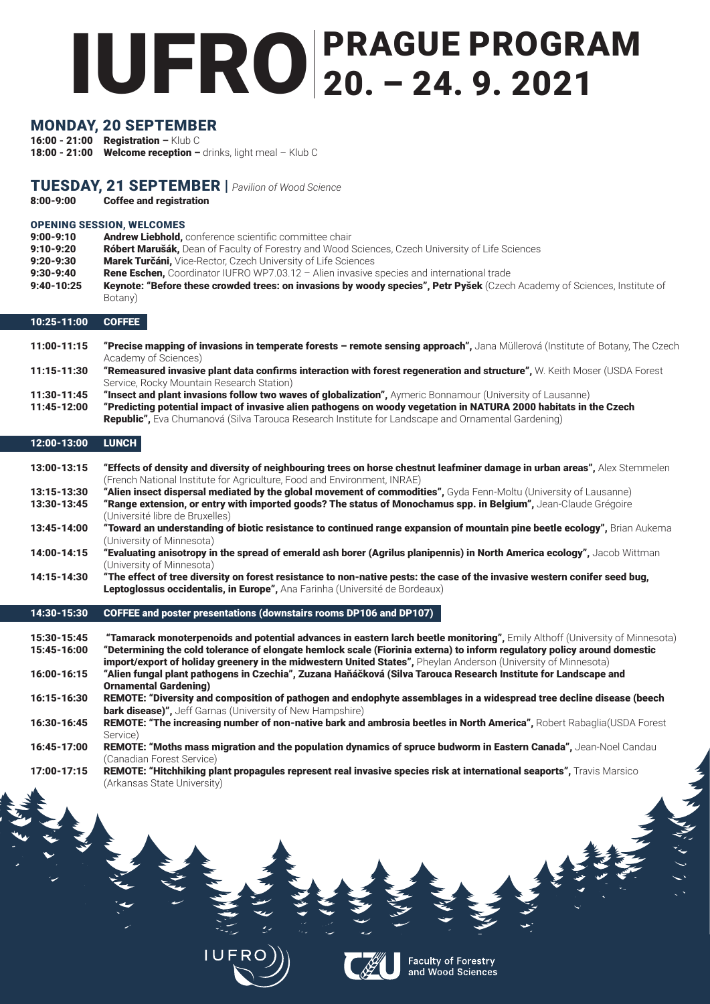# IUFRO PRAGUE PROGRAM 20. – 24. 9. 2021

## MONDAY, 20 SEPTEMBER

16:00 - 21:00 Registration – Klub C 18:00 - 21:00 Welcome reception  $-$  drinks, light meal  $-$  Klub C

## TUESDAY, 21 SEPTEMBER | *Pavilion of Wood Science*

8:00-9:00 Coffee and registration

## OPENING SESSION, WELCOMES

- 9:00-9:10 **Andrew Liebhold**, conference scientific committee chair
- 9:10-9:20 Róbert Marušák, Dean of Faculty of Forestry and Wood Sciences, Czech University of Life Sciences
- 9:20-9:30 Marek Turčáni, Vice-Rector, Czech University of Life Sciences
- 9:30-9:40 Rene Eschen, Coordinator IUFRO WP7.03.12 Alien invasive species and international trade
- 9:40-10:25 Keynote: "Before these crowded trees: on invasions by woody species", Petr Pyšek (Czech Academy of Sciences, Institute of Botany)

## 10:25-11:00 COFFEE

- 11:00-11:15 "Precise mapping of invasions in temperate forests remote sensing approach", Jana Müllerová (Institute of Botany, The Czech Academy of Sciences)
- 11:15-11:30 "Remeasured invasive plant data confirms interaction with forest regeneration and structure", W. Keith Moser (USDA Forest Service, Rocky Mountain Research Station)
- 11:30-11:45 "Insect and plant invasions follow two waves of globalization", Aymeric Bonnamour (University of Lausanne)
- 11:45-12:00 "Predicting potential impact of invasive alien pathogens on woody vegetation in NATURA 2000 habitats in the Czech Republic", Eva Chumanová (Silva Tarouca Research Institute for Landscape and Ornamental Gardening)

#### 12:00-13:00 LUNCH

- 13:00-13:15 "Effects of density and diversity of neighbouring trees on horse chestnut leafminer damage in urban areas", Alex Stemmelen (French National Institute for Agriculture, Food and Environment, INRAE)
- 13:15-13:30 "Alien insect dispersal mediated by the global movement of commodities", Gyda Fenn-Moltu (University of Lausanne) 13:30-13:45 "Range extension, or entry with imported goods? The status of Monochamus spp. in Belgium", Jean-Claude Grégoire
- (Université libre de Bruxelles)
- 13:45-14:00 "Toward an understanding of biotic resistance to continued range expansion of mountain pine beetle ecology", Brian Aukema (University of Minnesota)
- 14:00-14:15 "Evaluating anisotropy in the spread of emerald ash borer (Agrilus planipennis) in North America ecology", Jacob Wittman (University of Minnesota)
- 14:15-14:30 "The effect of tree diversity on forest resistance to non-native pests: the case of the invasive western conifer seed bug, Leptoglossus occidentalis, in Europe", Ana Farinha (Université de Bordeaux)

17:00-17:15 REMOTE: "Hitchhiking plant propagules represent real invasive species risk at international seaports", Travis Marsico (Arkansas State University)





**Faculty of Forestry<br>and Wood Sciences** 

**VANCES** 

#### 14:30-15:30 COFFEE and poster presentations (downstairs rooms DP106 and DP107)

- 15:30-15:45 "Tamarack monoterpenoids and potential advances in eastern larch beetle monitoring", Emily Althoff (University of Minnesota) 15:45-16:00 "Determining the cold tolerance of elongate hemlock scale (Fiorinia externa) to inform regulatory policy around domestic import/export of holiday greenery in the midwestern United States", Pheylan Anderson (University of Minnesota) 16:00-16:15 "Alien fungal plant pathogens in Czechia", Zuzana Haňáčková (Silva Tarouca Research Institute for Landscape and
- Ornamental Gardening)
- 16:15-16:30 REMOTE: "Diversity and composition of pathogen and endophyte assemblages in a widespread tree decline disease (beech **bark disease)**", Jeff Garnas (University of New Hampshire)
- 16:30-16:45 REMOTE: "The increasing number of non-native bark and ambrosia beetles in North America", Robert Rabaglia(USDA Forest Service)
- 16:45-17:00 REMOTE: "Moths mass migration and the population dynamics of spruce budworm in Eastern Canada", Jean-Noel Candau

(Canadian Forest Service)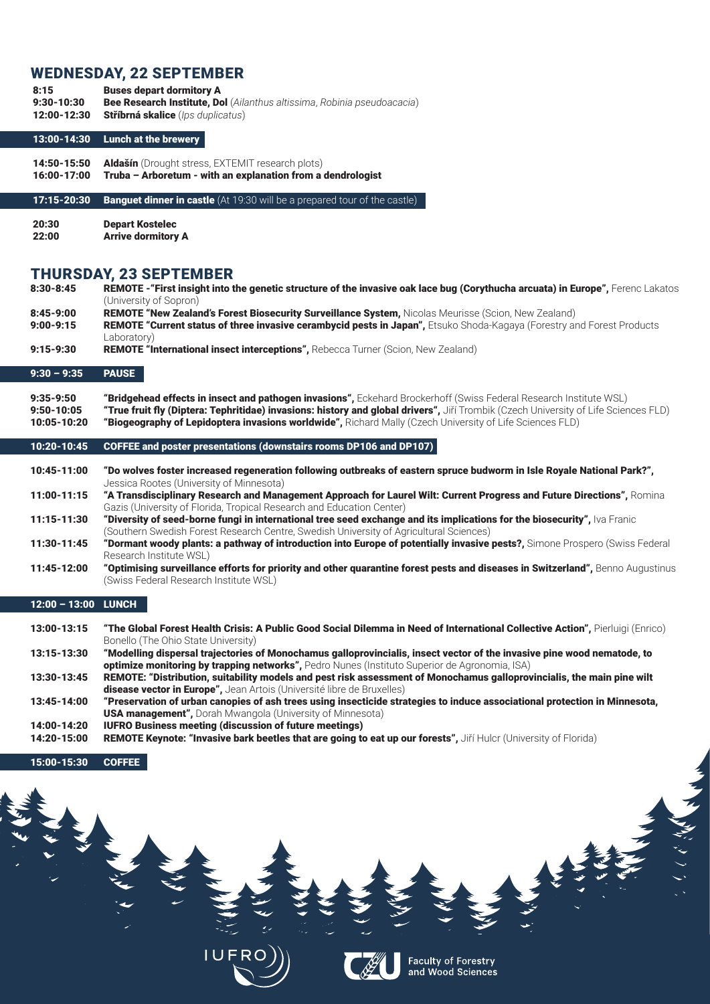## WEDNESDAY, 22 SEPTEMBER

8:15 Buses depart dormitory A 9:30-10:30 Bee Research Institute, Dol (*Ailanthus altissima*, *Robinia pseudoacacia*) 12:00-12:30 Stříbrná skalice (*Ips duplicatus*)

#### 13:00-14:30 Lunch at the brewery

14:50-15:50 Aldašín (Drought stress, EXTEMIT research plots)

16:00-17:00 Truba – Arboretum - with an explanation from a dendrologist

**17:15-20:30 Banguet dinner in castle** (At 19:30 will be a prepared tour of the castle)

20:30 Depart Kostelec 22:00 Arrive dormitory A

## THURSDAY, 23 SEPTEMBER

| $8:30 - 8:45$                                  | REMOTE - "First insight into the genetic structure of the invasive oak lace bug (Corythucha arcuata) in Europe", Ferenc Lakatos<br>(University of Sopron)                                                                                                                                                                                                             |
|------------------------------------------------|-----------------------------------------------------------------------------------------------------------------------------------------------------------------------------------------------------------------------------------------------------------------------------------------------------------------------------------------------------------------------|
| $8:45 - 9:00$<br>$9:00 - 9:15$                 | REMOTE "New Zealand's Forest Biosecurity Surveillance System, Nicolas Meurisse (Scion, New Zealand)<br>REMOTE "Current status of three invasive cerambycid pests in Japan", Etsuko Shoda-Kagaya (Forestry and Forest Products<br>Laboratory)                                                                                                                          |
| $9:15 - 9:30$                                  | <b>REMOTE "International insect interceptions", Rebecca Turner (Scion, New Zealand)</b>                                                                                                                                                                                                                                                                               |
| $9:30 - 9:35$                                  | <b>PAUSE</b>                                                                                                                                                                                                                                                                                                                                                          |
| $9:35 - 9:50$<br>$9:50 - 10:05$<br>10:05-10:20 | "Bridgehead effects in insect and pathogen invasions", Eckehard Brockerhoff (Swiss Federal Research Institute WSL)<br>"True fruit fly (Diptera: Tephritidae) invasions: history and global drivers", Jiří Trombik (Czech University of Life Sciences FLD)<br>"Biogeography of Lepidoptera invasions worldwide", Richard Mally (Czech University of Life Sciences FLD) |
|                                                |                                                                                                                                                                                                                                                                                                                                                                       |
| 10:20-10:45                                    | <b>COFFEE and poster presentations (downstairs rooms DP106 and DP107)</b>                                                                                                                                                                                                                                                                                             |
| 10:45-11:00                                    | "Do wolves foster increased regeneration following outbreaks of eastern spruce budworm in Isle Royale National Park?",<br>Jessica Rootes (University of Minnesota)                                                                                                                                                                                                    |
| 11:00-11:15                                    | "A Transdisciplinary Research and Management Approach for Laurel Wilt: Current Progress and Future Directions", Romina<br>Gazis (University of Florida, Tropical Research and Education Center)                                                                                                                                                                       |
| 11:15-11:30                                    | "Diversity of seed-borne fungi in international tree seed exchange and its implications for the biosecurity", Iva Franic<br>(Southern Swedish Forest Research Centre, Swedish University of Agricultural Sciences)                                                                                                                                                    |
| 11:30-11:45                                    | "Dormant woody plants: a pathway of introduction into Europe of potentially invasive pests?, Simone Prospero (Swiss Federal<br>Research Institute WSL)                                                                                                                                                                                                                |

13:00-13:15 "The Global Forest Health Crisis: A Public Good Social Dilemma in Need of International Collective Action", Pierluigi (Enrico) Bonello (The Ohio State University)

- 13:15-13:30 "Modelling dispersal trajectories of Monochamus galloprovincialis, insect vector of the invasive pine wood nematode, to optimize monitoring by trapping networks", Pedro Nunes (Instituto Superior de Agronomia, ISA)
- 13:30-13:45 REMOTE: "Distribution, suitability models and pest risk assessment of Monochamus galloprovincialis, the main pine wilt disease vector in Europe", Jean Artois (Université libre de Bruxelles)
- 13:45-14:00 "Preservation of urban canopies of ash trees using insecticide strategies to induce associational protection in Minnesota, USA management", Dorah Mwangola (University of Minnesota)
- 14:00-14:20 IUFRO Business meeting (discussion of future meetings)
- 14:20-15:00 REMOTE Keynote: "Invasive bark beetles that are going to eat up our forests", Jiří Hulcr (University of Florida)

#### 12:00 – 13:00 LUNCH









Faculty of Forestry<br>and Wood Sciences

**VANCON** 

Σ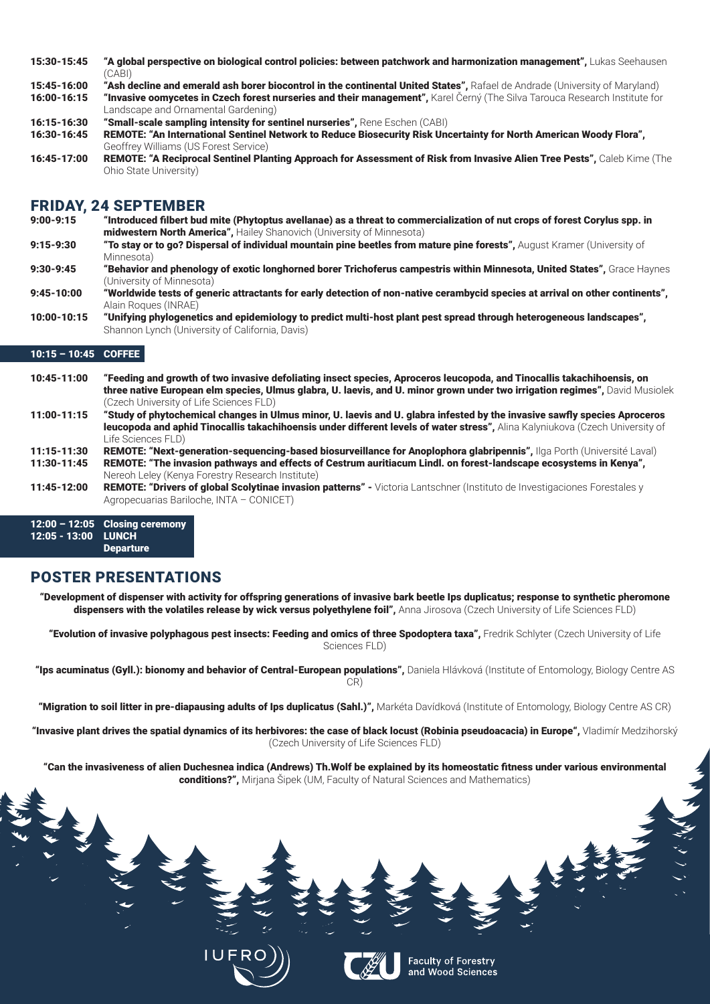- 15:30-15:45 "A global perspective on biological control policies: between patchwork and harmonization management", Lukas Seehausen (CABI)
- 15:45-16:00 "Ash decline and emerald ash borer biocontrol in the continental United States", Rafael de Andrade (University of Maryland)
- 16:00-16:15 "Invasive oomycetes in Czech forest nurseries and their management", Karel Černý (The Silva Tarouca Research Institute for Landscape and Ornamental Gardening)
- 16:15-16:30 "Small-scale sampling intensity for sentinel nurseries", Rene Eschen (CABI)
- 16:30-16:45 REMOTE: "An International Sentinel Network to Reduce Biosecurity Risk Uncertainty for North American Woody Flora", Geoffrey Williams (US Forest Service)
- 16:45-17:00 REMOTE: "A Reciprocal Sentinel Planting Approach for Assessment of Risk from Invasive Alien Tree Pests", Caleb Kime (The Ohio State University)

## FRIDAY, 24 SEPTEMBER

- 9:00-9:15 "Introduced filbert bud mite (Phytoptus avellanae) as a threat to commercialization of nut crops of forest Corylus spp. in midwestern North America", Hailey Shanovich (University of Minnesota)
- 9:15-9:30 "To stay or to go? Dispersal of individual mountain pine beetles from mature pine forests", August Kramer (University of Minnesota)
- 9:30-9:45 "Behavior and phenology of exotic longhorned borer Trichoferus campestris within Minnesota, United States", Grace Haynes (University of Minnesota)
- 9:45-10:00 "Worldwide tests of generic attractants for early detection of non-native cerambycid species at arrival on other continents", Alain Roques (INRAE)
- 10:00-10:15 "Unifying phylogenetics and epidemiology to predict multi-host plant pest spread through heterogeneous landscapes", Shannon Lynch (University of California, Davis)

12:00 – 12:05 Closing ceremony 12:05 - 13:00 LUNCH **Departure** 

"Development of dispenser with activity for offspring generations of invasive bark beetle Ips duplicatus; response to synthetic pheromone dispensers with the volatiles release by wick versus polyethylene foil", Anna Jirosova (Czech University of Life Sciences FLD)

"Evolution of invasive polyphagous pest insects: Feeding and omics of three Spodoptera taxa", Fredrik Schlyter (Czech University of Life Sciences FLD)

"Ips acuminatus (Gyll.): bionomy and behavior of Central-European populations", Daniela Hlávková (Institute of Entomology, Biology Centre AS CR)

"Migration to soil litter in pre-diapausing adults of Ips duplicatus (Sahl.)", Markéta Davídková (Institute of Entomology, Biology Centre AS CR)

## 10:15 – 10:45 COFFEE

"Invasive plant drives the spatial dynamics of its herbivores: the case of black locust (Robinia pseudoacacia) in Europe", Vladimír Medzihorský (Czech University of Life Sciences FLD)

"Can the invasiveness of alien Duchesnea indica (Andrews) Th.Wolf be explained by its homeostatic fitness under various environmental **conditions?",** Mirjana Šipek (UM, Faculty of Natural Sciences and Mathematics)

10:45-11:00 "Feeding and growth of two invasive defoliating insect species, Aproceros leucopoda, and Tinocallis takachihoensis, on three native European elm species, Ulmus glabra, U. laevis, and U. minor grown under two irrigation regimes", David Musiolek (Czech University of Life Sciences FLD)





**Faculty of Forestry<br>and Wood Sciences** 

LE REAL

- 11:00-11:15 "Study of phytochemical changes in Ulmus minor, U. laevis and U. glabra infested by the invasive sawfly species Aproceros leucopoda and aphid Tinocallis takachihoensis under different levels of water stress". Alina Kalyniukova (Czech University of Life Sciences FLD)
- 11:15-11:30 REMOTE: "Next-generation-sequencing-based biosurveillance for Anoplophora glabripennis", Ilga Porth (Université Laval) 11:30-11:45 REMOTE: "The invasion pathways and effects of Cestrum auritiacum Lindl. on forest-landscape ecosystems in Kenya",
- Nereoh Leley (Kenya Forestry Research Institute)
- 11:45-12:00 REMOTE: "Drivers of global Scolytinae invasion patterns" Victoria Lantschner (Instituto de Investigaciones Forestales y Agropecuarias Bariloche, INTA – CONICET)

## POSTER PRESENTATIONS